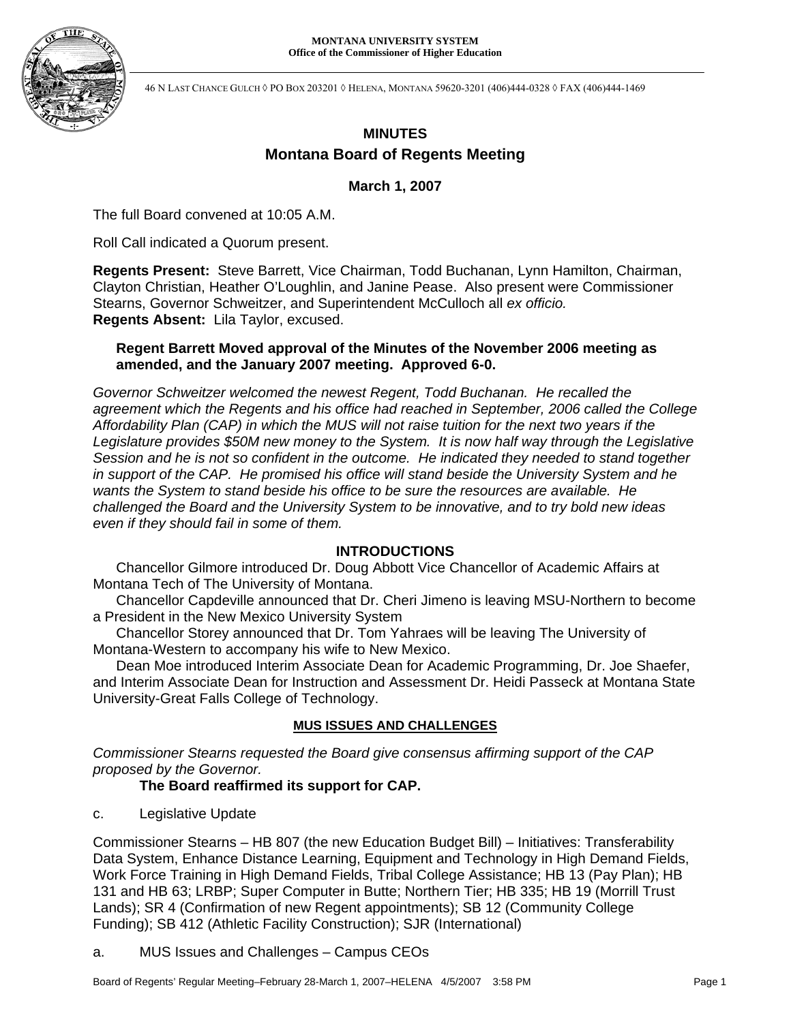

46 N LAST CHANCE GULCH ◊ PO BOX 203201 ◊ HELENA, MONTANA 59620-3201 (406)444-0328 ◊ FAX (406)444-1469

# **MINUTES Montana Board of Regents Meeting**

## **March 1, 2007**

The full Board convened at 10:05 A.M.

Roll Call indicated a Quorum present.

**Regents Present:** Steve Barrett, Vice Chairman, Todd Buchanan, Lynn Hamilton, Chairman, Clayton Christian, Heather O'Loughlin, and Janine Pease. Also present were Commissioner Stearns, Governor Schweitzer, and Superintendent McCulloch all *ex officio.* **Regents Absent:** Lila Taylor, excused.

## **Regent Barrett Moved approval of the Minutes of the November 2006 meeting as amended, and the January 2007 meeting. Approved 6-0.**

*Governor Schweitzer welcomed the newest Regent, Todd Buchanan. He recalled the agreement which the Regents and his office had reached in September, 2006 called the College Affordability Plan (CAP) in which the MUS will not raise tuition for the next two years if the Legislature provides \$50M new money to the System. It is now half way through the Legislative Session and he is not so confident in the outcome. He indicated they needed to stand together in support of the CAP. He promised his office will stand beside the University System and he wants the System to stand beside his office to be sure the resources are available. He challenged the Board and the University System to be innovative, and to try bold new ideas even if they should fail in some of them.* 

## **INTRODUCTIONS**

Chancellor Gilmore introduced Dr. Doug Abbott Vice Chancellor of Academic Affairs at Montana Tech of The University of Montana.

Chancellor Capdeville announced that Dr. Cheri Jimeno is leaving MSU-Northern to become a President in the New Mexico University System

Chancellor Storey announced that Dr. Tom Yahraes will be leaving The University of Montana-Western to accompany his wife to New Mexico.

Dean Moe introduced Interim Associate Dean for Academic Programming, Dr. Joe Shaefer, and Interim Associate Dean for Instruction and Assessment Dr. Heidi Passeck at Montana State University-Great Falls College of Technology.

# **MUS ISSUES AND CHALLENGES**

*Commissioner Stearns requested the Board give consensus affirming support of the CAP proposed by the Governor.* 

# **The Board reaffirmed its support for CAP.**

c. Legislative Update

Commissioner Stearns – HB 807 (the new Education Budget Bill) – Initiatives: Transferability Data System, Enhance Distance Learning, Equipment and Technology in High Demand Fields, Work Force Training in High Demand Fields, Tribal College Assistance; HB 13 (Pay Plan); HB 131 and HB 63; LRBP; Super Computer in Butte; Northern Tier; HB 335; HB 19 (Morrill Trust Lands); SR 4 (Confirmation of new Regent appointments); SB 12 (Community College Funding); SB 412 (Athletic Facility Construction); SJR (International)

a. MUS Issues and Challenges – Campus CEOs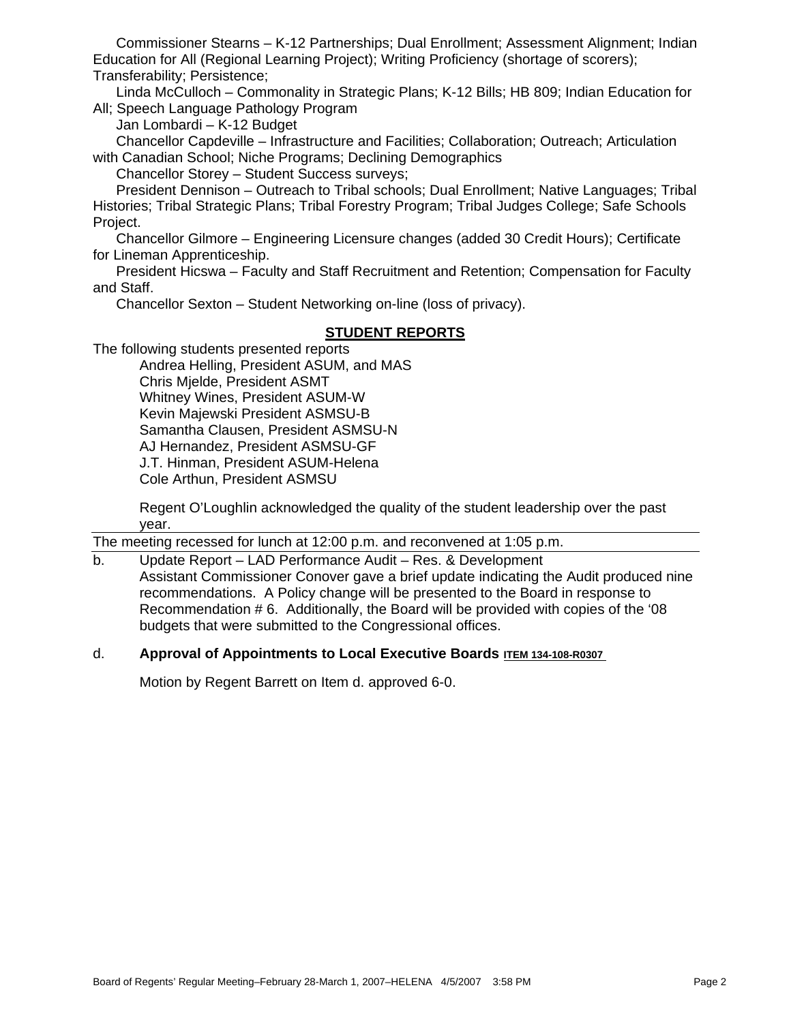Commissioner Stearns – K-12 Partnerships; Dual Enrollment; Assessment Alignment; Indian Education for All (Regional Learning Project); Writing Proficiency (shortage of scorers); Transferability; Persistence;

Linda McCulloch – Commonality in Strategic Plans; K-12 Bills; HB 809; Indian Education for All; Speech Language Pathology Program

Jan Lombardi – K-12 Budget

Chancellor Capdeville – Infrastructure and Facilities; Collaboration; Outreach; Articulation with Canadian School; Niche Programs; Declining Demographics

Chancellor Storey – Student Success surveys;

President Dennison – Outreach to Tribal schools; Dual Enrollment; Native Languages; Tribal Histories; Tribal Strategic Plans; Tribal Forestry Program; Tribal Judges College; Safe Schools Project.

Chancellor Gilmore – Engineering Licensure changes (added 30 Credit Hours); Certificate for Lineman Apprenticeship.

President Hicswa – Faculty and Staff Recruitment and Retention; Compensation for Faculty and Staff.

Chancellor Sexton – Student Networking on-line (loss of privacy).

# **STUDENT REPORTS**

The following students presented reports

Andrea Helling, President ASUM, and MAS Chris Mjelde, President ASMT Whitney Wines, President ASUM-W Kevin Majewski President ASMSU-B Samantha Clausen, President ASMSU-N AJ Hernandez, President ASMSU-GF J.T. Hinman, President ASUM-Helena Cole Arthun, President ASMSU

Regent O'Loughlin acknowledged the quality of the student leadership over the past year.

The meeting recessed for lunch at 12:00 p.m. and reconvened at 1:05 p.m.

b. Update Report – LAD Performance Audit – Res. & Development Assistant Commissioner Conover gave a brief update indicating the Audit produced nine recommendations. A Policy change will be presented to the Board in response to Recommendation # 6. Additionally, the Board will be provided with copies of the '08 budgets that were submitted to the Congressional offices.

# d. **Approval of Appointments to Local Executive Boards ITEM 134-108-R0307**

Motion by Regent Barrett on Item d. approved 6-0.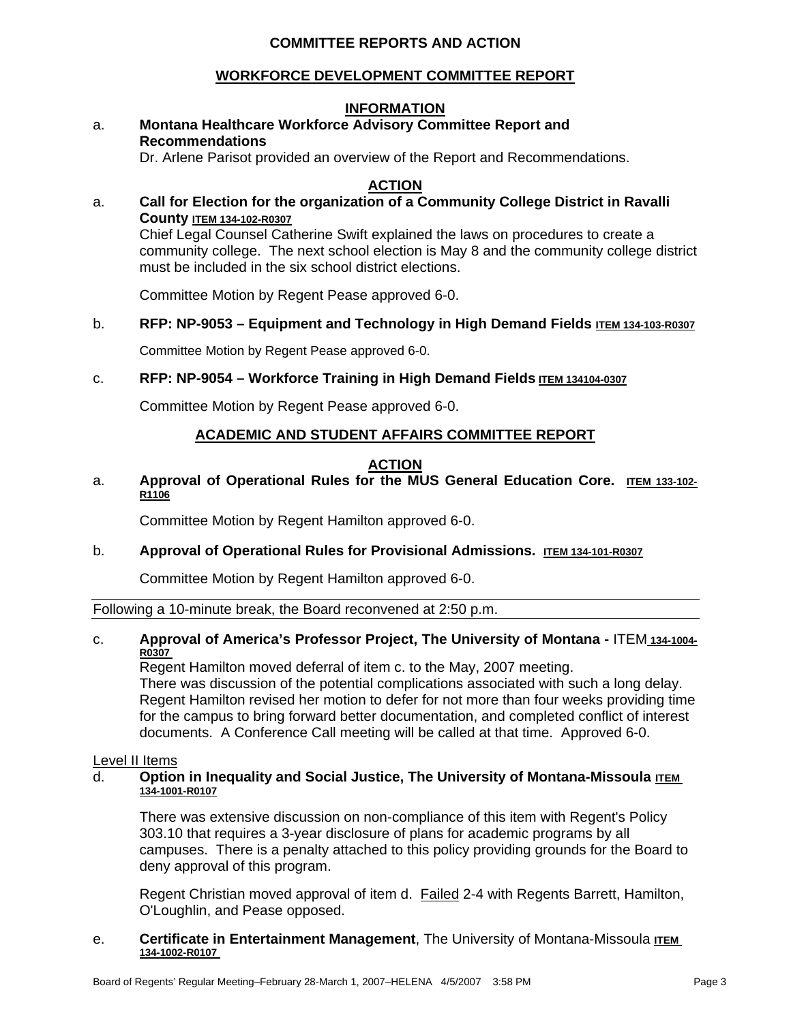# **COMMITTEE REPORTS AND ACTION**

## **WORKFORCE DEVELOPMENT COMMITTEE REPORT**

## **INFORMATION**

## a. **Montana Healthcare Workforce Advisory Committee Report and Recommendations**

Dr. Arlene Parisot provided an overview of the Report and Recommendations.

## **ACTION**

# a. **Call for Election for the organization of a Community College District in Ravalli County ITEM 134-102-R0307**

Chief Legal Counsel Catherine Swift explained the laws on procedures to create a community college. The next school election is May 8 and the community college district must be included in the six school district elections.

Committee Motion by Regent Pease approved 6-0.

## b. **RFP: NP-9053 – Equipment and Technology in High Demand Fields ITEM 134-103-R0307**

Committee Motion by Regent Pease approved 6-0.

## c. **RFP: NP-9054 – Workforce Training in High Demand Fields ITEM 134104-0307**

Committee Motion by Regent Pease approved 6-0.

## **ACADEMIC AND STUDENT AFFAIRS COMMITTEE REPORT**

## **ACTION**

### a. **Approval of Operational Rules for the MUS General Education Core. ITEM 133-102- R1106**

Committee Motion by Regent Hamilton approved 6-0.

## b. **Approval of Operational Rules for Provisional Admissions. ITEM 134-101-R0307**

Committee Motion by Regent Hamilton approved 6-0.

Following a 10-minute break, the Board reconvened at 2:50 p.m.

#### c. **Approval of America's Professor Project, The University of Montana -** ITEM **134-1004- R0307**

Regent Hamilton moved deferral of item c. to the May, 2007 meeting. There was discussion of the potential complications associated with such a long delay. Regent Hamilton revised her motion to defer for not more than four weeks providing time for the campus to bring forward better documentation, and completed conflict of interest documents. A Conference Call meeting will be called at that time. Approved 6-0.

#### Level II Items

#### d. **Option in Inequality and Social Justice, The University of Montana-Missoula ITEM 134-1001-R0107**

There was extensive discussion on non-compliance of this item with Regent's Policy 303.10 that requires a 3-year disclosure of plans for academic programs by all campuses. There is a penalty attached to this policy providing grounds for the Board to deny approval of this program.

Regent Christian moved approval of item d. Failed 2-4 with Regents Barrett, Hamilton, O'Loughlin, and Pease opposed.

#### e. **Certificate in Entertainment Management**, The University of Montana-Missoula **ITEM 134-1002-R0107**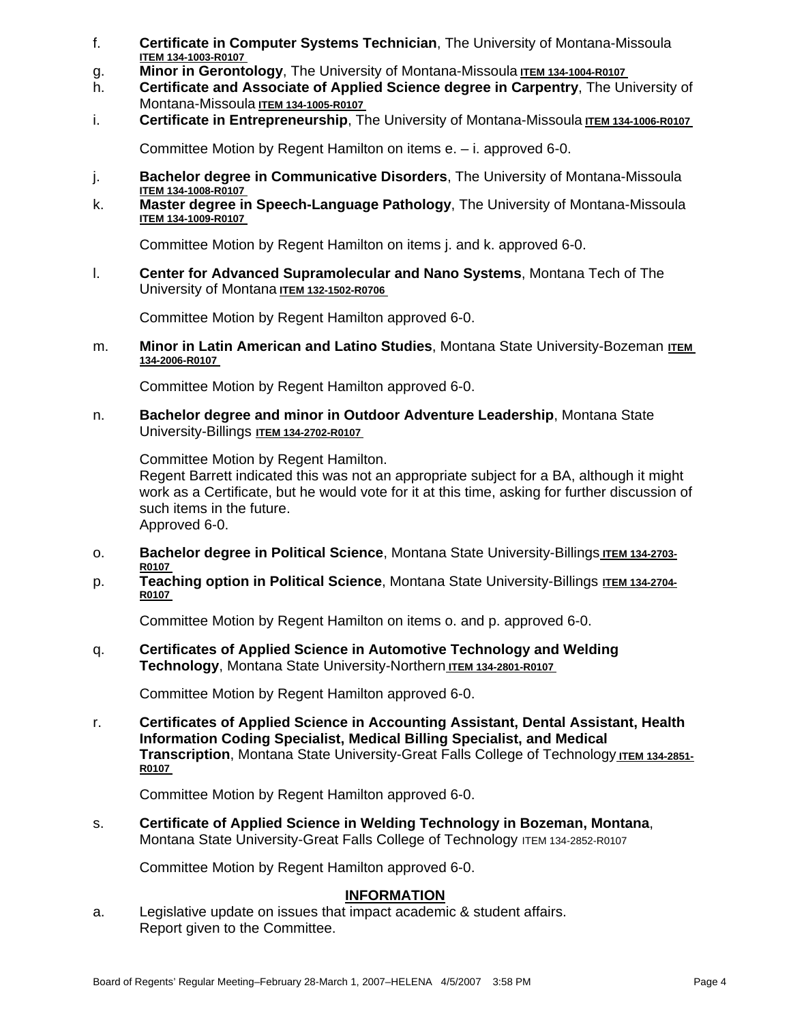- f. **Certificate in Computer Systems Technician**, The University of Montana-Missoula **ITEM 134-1003-R0107**
- g. Minor in Gerontology, The University of Montana-Missoula **ITEM 134-1004-R0107**
- h. **Certificate and Associate of Applied Science degree in Carpentry**, The University of Montana-Missoula **ITEM 134-1005-R0107**
- i. **Certificate in Entrepreneurship**, The University of Montana-Missoula **ITEM 134-1006-R0107**

Committee Motion by Regent Hamilton on items e. – i. approved 6-0.

- j. **Bachelor degree in Communicative Disorders**, The University of Montana-Missoula **ITEM 134-1008-R0107**
- k. **Master degree in Speech-Language Pathology**, The University of Montana-Missoula **ITEM 134-1009-R0107**

Committee Motion by Regent Hamilton on items j. and k. approved 6-0.

l. **Center for Advanced Supramolecular and Nano Systems**, Montana Tech of The University of Montana **ITEM 132-1502-R0706** 

Committee Motion by Regent Hamilton approved 6-0.

m. **Minor in Latin American and Latino Studies**, Montana State University-Bozeman **ITEM 134-2006-R0107** 

Committee Motion by Regent Hamilton approved 6-0.

n. **Bachelor degree and minor in Outdoor Adventure Leadership**, Montana State University-Billings **ITEM 134-2702-R0107** 

Committee Motion by Regent Hamilton.

Regent Barrett indicated this was not an appropriate subject for a BA, although it might work as a Certificate, but he would vote for it at this time, asking for further discussion of such items in the future.

Approved 6-0.

- o. **Bachelor degree in Political Science**, Montana State University-Billings **ITEM 134-2703- R0107**
- p. **Teaching option in Political Science**, Montana State University-Billings **ITEM 134-2704- R0107**

Committee Motion by Regent Hamilton on items o. and p. approved 6-0.

q. **Certificates of Applied Science in Automotive Technology and Welding Technology**, Montana State University-Northern **ITEM 134-2801-R0107** 

Committee Motion by Regent Hamilton approved 6-0.

r. **Certificates of Applied Science in Accounting Assistant, Dental Assistant, Health Information Coding Specialist, Medical Billing Specialist, and Medical Transcription**, Montana State University-Great Falls College of Technology **ITEM 134-2851- R0107** 

Committee Motion by Regent Hamilton approved 6-0.

s. **Certificate of Applied Science in Welding Technology in Bozeman, Montana**, Montana State University-Great Falls College of Technology ITEM 134-2852-R0107

Committee Motion by Regent Hamilton approved 6-0.

## **INFORMATION**

a. Legislative update on issues that impact academic & student affairs. Report given to the Committee.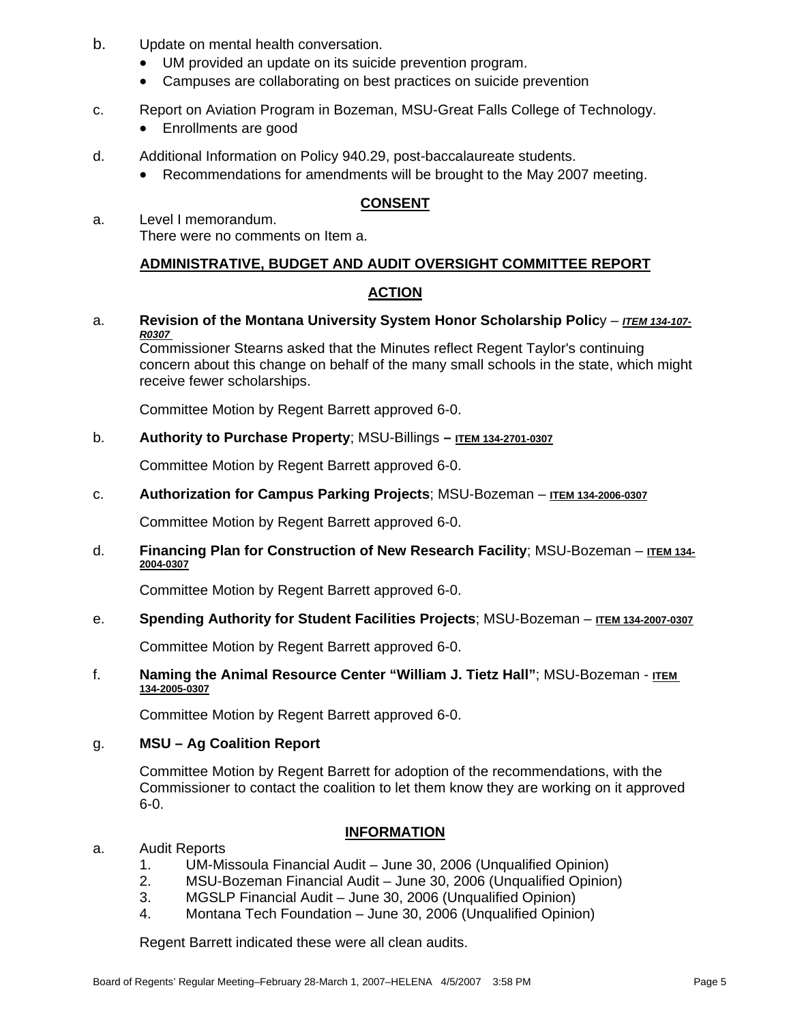- b. Update on mental health conversation.
	- UM provided an update on its suicide prevention program.
	- Campuses are collaborating on best practices on suicide prevention
- c. Report on Aviation Program in Bozeman, MSU-Great Falls College of Technology.
	- Enrollments are good
- d. Additional Information on Policy 940.29, post-baccalaureate students.
	- Recommendations for amendments will be brought to the May 2007 meeting.

# **CONSENT**

a. Level I memorandum. There were no comments on Item a.

# **ADMINISTRATIVE, BUDGET AND AUDIT OVERSIGHT COMMITTEE REPORT**

# **ACTION**

a. **Revision of the Montana University System Honor Scholarship Policy –** *ITEM 134-107-R0307* 

Commissioner Stearns asked that the Minutes reflect Regent Taylor's continuing concern about this change on behalf of the many small schools in the state, which might receive fewer scholarships.

Committee Motion by Regent Barrett approved 6-0.

# b. **Authority to Purchase Property**; MSU-Billings **– ITEM 134-2701-0307**

Committee Motion by Regent Barrett approved 6-0.

c. **Authorization for Campus Parking Projects**; MSU-Bozeman – **ITEM 134-2006-0307**

Committee Motion by Regent Barrett approved 6-0.

d. **Financing Plan for Construction of New Research Facility**; MSU-Bozeman – **ITEM 134- 2004-0307**

Committee Motion by Regent Barrett approved 6-0.

# e. **Spending Authority for Student Facilities Projects**; MSU-Bozeman – **ITEM 134-2007-0307**

Committee Motion by Regent Barrett approved 6-0.

f. **Naming the Animal Resource Center "William J. Tietz Hall"**; MSU-Bozeman - **ITEM 134-2005-0307**

Committee Motion by Regent Barrett approved 6-0.

## g. **MSU – Ag Coalition Report**

Committee Motion by Regent Barrett for adoption of the recommendations, with the Commissioner to contact the coalition to let them know they are working on it approved 6-0.

# **INFORMATION**

## a. Audit Reports

- 1. UM-Missoula Financial Audit June 30, 2006 (Unqualified Opinion)
- 2. MSU-Bozeman Financial Audit June 30, 2006 (Unqualified Opinion)
- 3. MGSLP Financial Audit June 30, 2006 (Unqualified Opinion)
- 4. Montana Tech Foundation June 30, 2006 (Unqualified Opinion)

Regent Barrett indicated these were all clean audits.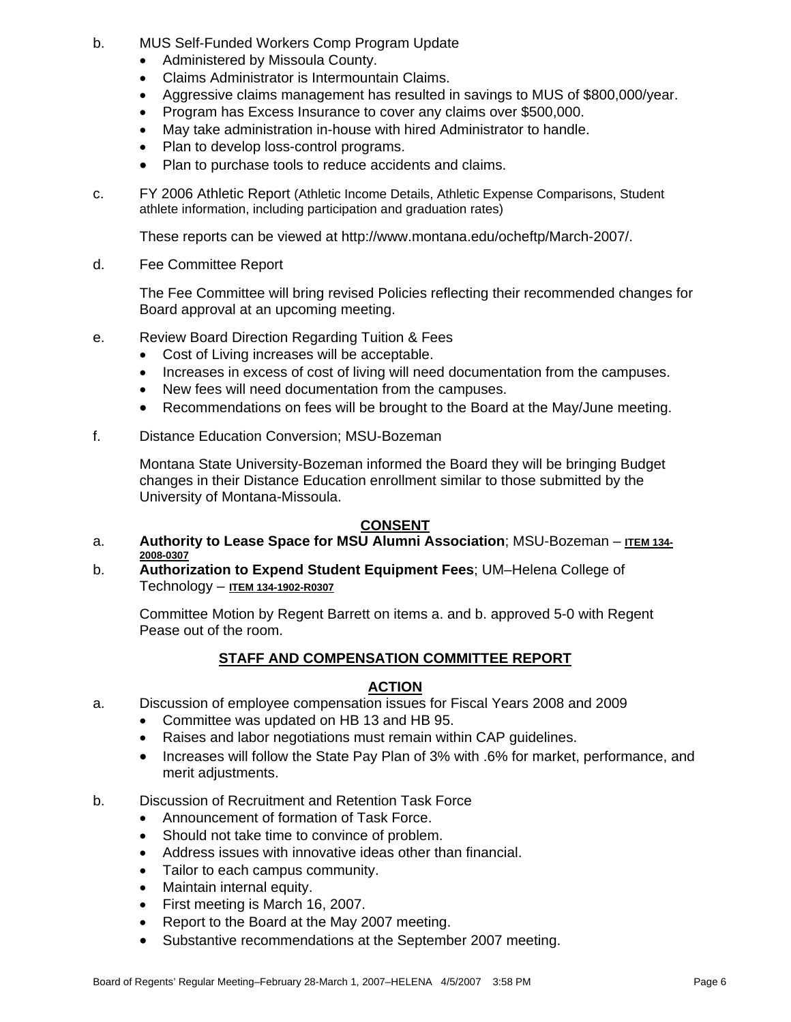- b. MUS Self-Funded Workers Comp Program Update
	- Administered by Missoula County.
	- Claims Administrator is Intermountain Claims.
	- Aggressive claims management has resulted in savings to MUS of \$800,000/year.
	- Program has Excess Insurance to cover any claims over \$500,000.
	- May take administration in-house with hired Administrator to handle.
	- Plan to develop loss-control programs.
	- Plan to purchase tools to reduce accidents and claims.
- c. FY 2006 Athletic Report (Athletic Income Details, Athletic Expense Comparisons, Student athlete information, including participation and graduation rates)

These reports can be viewed at http://www.montana.edu/ocheftp/March-2007/.

d. Fee Committee Report

The Fee Committee will bring revised Policies reflecting their recommended changes for Board approval at an upcoming meeting.

- e. Review Board Direction Regarding Tuition & Fees
	- Cost of Living increases will be acceptable.
	- Increases in excess of cost of living will need documentation from the campuses.
	- New fees will need documentation from the campuses.
	- Recommendations on fees will be brought to the Board at the May/June meeting.
- f. Distance Education Conversion; MSU-Bozeman

Montana State University-Bozeman informed the Board they will be bringing Budget changes in their Distance Education enrollment similar to those submitted by the University of Montana-Missoula.

# **CONSENT**

- a. **Authority to Lease Space for MSU Alumni Association**; MSU-Bozeman **ITEM 134- 2008-0307**
- b. **Authorization to Expend Student Equipment Fees**; UM–Helena College of Technology – **ITEM 134-1902-R0307**

Committee Motion by Regent Barrett on items a. and b. approved 5-0 with Regent Pease out of the room.

# **STAFF AND COMPENSATION COMMITTEE REPORT**

# **ACTION**

- a. Discussion of employee compensation issues for Fiscal Years 2008 and 2009
	- Committee was updated on HB 13 and HB 95.
	- Raises and labor negotiations must remain within CAP guidelines.
	- Increases will follow the State Pay Plan of 3% with .6% for market, performance, and merit adjustments.
- b. Discussion of Recruitment and Retention Task Force
	- Announcement of formation of Task Force.
	- Should not take time to convince of problem.
	- Address issues with innovative ideas other than financial.
	- Tailor to each campus community.
	- Maintain internal equity.
	- First meeting is March 16, 2007.
	- Report to the Board at the May 2007 meeting.
	- Substantive recommendations at the September 2007 meeting.